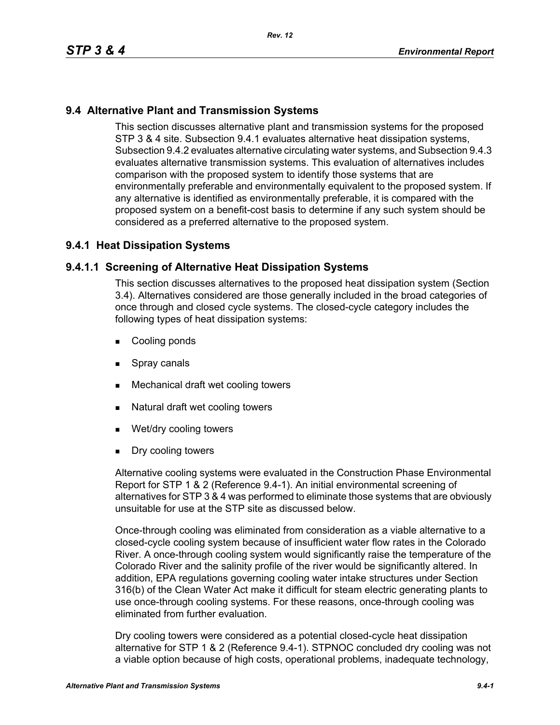# **9.4 Alternative Plant and Transmission Systems**

This section discusses alternative plant and transmission systems for the proposed STP 3 & 4 site. Subsection 9.4.1 evaluates alternative heat dissipation systems, Subsection 9.4.2 evaluates alternative circulating water systems, and Subsection 9.4.3 evaluates alternative transmission systems. This evaluation of alternatives includes comparison with the proposed system to identify those systems that are environmentally preferable and environmentally equivalent to the proposed system. If any alternative is identified as environmentally preferable, it is compared with the proposed system on a benefit-cost basis to determine if any such system should be considered as a preferred alternative to the proposed system.

# **9.4.1 Heat Dissipation Systems**

## **9.4.1.1 Screening of Alternative Heat Dissipation Systems**

This section discusses alternatives to the proposed heat dissipation system (Section 3.4). Alternatives considered are those generally included in the broad categories of once through and closed cycle systems. The closed-cycle category includes the following types of heat dissipation systems:

- **Cooling ponds**
- **Spray canals**
- Mechanical draft wet cooling towers
- Natural draft wet cooling towers
- Wet/dry cooling towers
- **Dry cooling towers**

Alternative cooling systems were evaluated in the Construction Phase Environmental Report for STP 1 & 2 (Reference 9.4-1). An initial environmental screening of alternatives for STP 3 & 4 was performed to eliminate those systems that are obviously unsuitable for use at the STP site as discussed below.

Once-through cooling was eliminated from consideration as a viable alternative to a closed-cycle cooling system because of insufficient water flow rates in the Colorado River. A once-through cooling system would significantly raise the temperature of the Colorado River and the salinity profile of the river would be significantly altered. In addition, EPA regulations governing cooling water intake structures under Section 316(b) of the Clean Water Act make it difficult for steam electric generating plants to use once-through cooling systems. For these reasons, once-through cooling was eliminated from further evaluation.

Dry cooling towers were considered as a potential closed-cycle heat dissipation alternative for STP 1 & 2 (Reference 9.4-1). STPNOC concluded dry cooling was not a viable option because of high costs, operational problems, inadequate technology,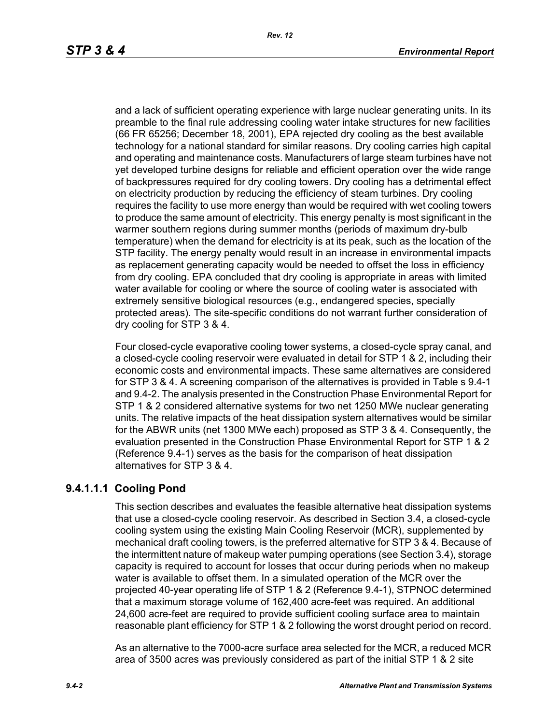and a lack of sufficient operating experience with large nuclear generating units. In its preamble to the final rule addressing cooling water intake structures for new facilities (66 FR 65256; December 18, 2001), EPA rejected dry cooling as the best available technology for a national standard for similar reasons. Dry cooling carries high capital and operating and maintenance costs. Manufacturers of large steam turbines have not yet developed turbine designs for reliable and efficient operation over the wide range of backpressures required for dry cooling towers. Dry cooling has a detrimental effect on electricity production by reducing the efficiency of steam turbines. Dry cooling requires the facility to use more energy than would be required with wet cooling towers to produce the same amount of electricity. This energy penalty is most significant in the warmer southern regions during summer months (periods of maximum dry-bulb temperature) when the demand for electricity is at its peak, such as the location of the STP facility. The energy penalty would result in an increase in environmental impacts as replacement generating capacity would be needed to offset the loss in efficiency from dry cooling. EPA concluded that dry cooling is appropriate in areas with limited water available for cooling or where the source of cooling water is associated with extremely sensitive biological resources (e.g., endangered species, specially protected areas). The site-specific conditions do not warrant further consideration of dry cooling for STP 3 & 4.

Four closed-cycle evaporative cooling tower systems, a closed-cycle spray canal, and a closed-cycle cooling reservoir were evaluated in detail for STP 1 & 2, including their economic costs and environmental impacts. These same alternatives are considered for STP 3 & 4. A screening comparison of the alternatives is provided in Table s 9.4-1 and 9.4-2. The analysis presented in the Construction Phase Environmental Report for STP 1 & 2 considered alternative systems for two net 1250 MWe nuclear generating units. The relative impacts of the heat dissipation system alternatives would be similar for the ABWR units (net 1300 MWe each) proposed as STP 3 & 4. Consequently, the evaluation presented in the Construction Phase Environmental Report for STP 1 & 2 (Reference 9.4-1) serves as the basis for the comparison of heat dissipation alternatives for STP 3 & 4.

# **9.4.1.1.1 Cooling Pond**

This section describes and evaluates the feasible alternative heat dissipation systems that use a closed-cycle cooling reservoir. As described in Section 3.4, a closed-cycle cooling system using the existing Main Cooling Reservoir (MCR), supplemented by mechanical draft cooling towers, is the preferred alternative for STP 3 & 4. Because of the intermittent nature of makeup water pumping operations (see Section 3.4), storage capacity is required to account for losses that occur during periods when no makeup water is available to offset them. In a simulated operation of the MCR over the projected 40-year operating life of STP 1 & 2 (Reference 9.4-1), STPNOC determined that a maximum storage volume of 162,400 acre-feet was required. An additional 24,600 acre-feet are required to provide sufficient cooling surface area to maintain reasonable plant efficiency for STP 1 & 2 following the worst drought period on record.

As an alternative to the 7000-acre surface area selected for the MCR, a reduced MCR area of 3500 acres was previously considered as part of the initial STP 1 & 2 site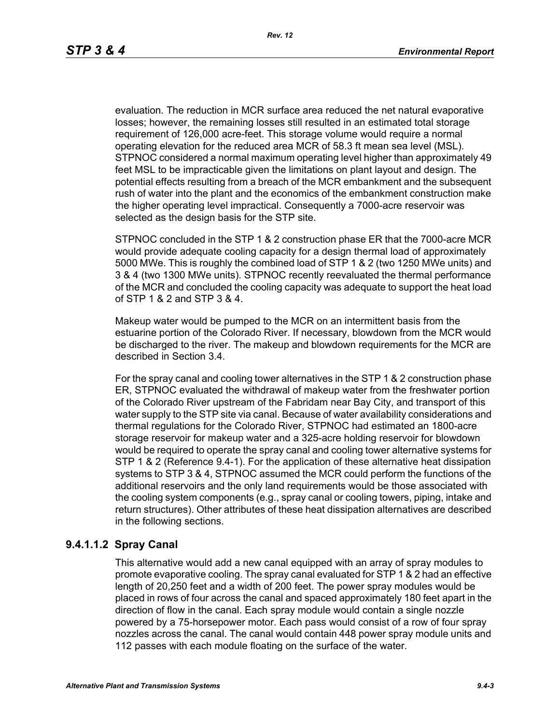evaluation. The reduction in MCR surface area reduced the net natural evaporative losses; however, the remaining losses still resulted in an estimated total storage requirement of 126,000 acre-feet. This storage volume would require a normal operating elevation for the reduced area MCR of 58.3 ft mean sea level (MSL). STPNOC considered a normal maximum operating level higher than approximately 49 feet MSL to be impracticable given the limitations on plant layout and design. The potential effects resulting from a breach of the MCR embankment and the subsequent rush of water into the plant and the economics of the embankment construction make the higher operating level impractical. Consequently a 7000-acre reservoir was selected as the design basis for the STP site.

STPNOC concluded in the STP 1 & 2 construction phase ER that the 7000-acre MCR would provide adequate cooling capacity for a design thermal load of approximately 5000 MWe. This is roughly the combined load of STP 1 & 2 (two 1250 MWe units) and 3 & 4 (two 1300 MWe units). STPNOC recently reevaluated the thermal performance of the MCR and concluded the cooling capacity was adequate to support the heat load of STP 1 & 2 and STP 3 & 4.

Makeup water would be pumped to the MCR on an intermittent basis from the estuarine portion of the Colorado River. If necessary, blowdown from the MCR would be discharged to the river. The makeup and blowdown requirements for the MCR are described in Section 3.4.

For the spray canal and cooling tower alternatives in the STP 1 & 2 construction phase ER, STPNOC evaluated the withdrawal of makeup water from the freshwater portion of the Colorado River upstream of the Fabridam near Bay City, and transport of this water supply to the STP site via canal. Because of water availability considerations and thermal regulations for the Colorado River, STPNOC had estimated an 1800-acre storage reservoir for makeup water and a 325-acre holding reservoir for blowdown would be required to operate the spray canal and cooling tower alternative systems for STP 1 & 2 (Reference 9.4-1). For the application of these alternative heat dissipation systems to STP 3 & 4, STPNOC assumed the MCR could perform the functions of the additional reservoirs and the only land requirements would be those associated with the cooling system components (e.g., spray canal or cooling towers, piping, intake and return structures). Other attributes of these heat dissipation alternatives are described in the following sections.

# **9.4.1.1.2 Spray Canal**

This alternative would add a new canal equipped with an array of spray modules to promote evaporative cooling. The spray canal evaluated for STP 1 & 2 had an effective length of 20,250 feet and a width of 200 feet. The power spray modules would be placed in rows of four across the canal and spaced approximately 180 feet apart in the direction of flow in the canal. Each spray module would contain a single nozzle powered by a 75-horsepower motor. Each pass would consist of a row of four spray nozzles across the canal. The canal would contain 448 power spray module units and 112 passes with each module floating on the surface of the water.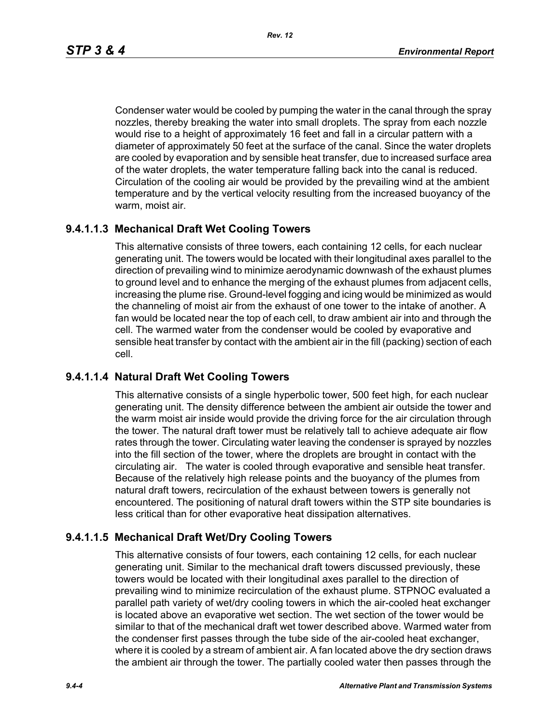Condenser water would be cooled by pumping the water in the canal through the spray nozzles, thereby breaking the water into small droplets. The spray from each nozzle would rise to a height of approximately 16 feet and fall in a circular pattern with a diameter of approximately 50 feet at the surface of the canal. Since the water droplets are cooled by evaporation and by sensible heat transfer, due to increased surface area of the water droplets, the water temperature falling back into the canal is reduced. Circulation of the cooling air would be provided by the prevailing wind at the ambient temperature and by the vertical velocity resulting from the increased buoyancy of the warm, moist air.

# **9.4.1.1.3 Mechanical Draft Wet Cooling Towers**

This alternative consists of three towers, each containing 12 cells, for each nuclear generating unit. The towers would be located with their longitudinal axes parallel to the direction of prevailing wind to minimize aerodynamic downwash of the exhaust plumes to ground level and to enhance the merging of the exhaust plumes from adjacent cells, increasing the plume rise. Ground-level fogging and icing would be minimized as would the channeling of moist air from the exhaust of one tower to the intake of another. A fan would be located near the top of each cell, to draw ambient air into and through the cell. The warmed water from the condenser would be cooled by evaporative and sensible heat transfer by contact with the ambient air in the fill (packing) section of each cell.

### **9.4.1.1.4 Natural Draft Wet Cooling Towers**

This alternative consists of a single hyperbolic tower, 500 feet high, for each nuclear generating unit. The density difference between the ambient air outside the tower and the warm moist air inside would provide the driving force for the air circulation through the tower. The natural draft tower must be relatively tall to achieve adequate air flow rates through the tower. Circulating water leaving the condenser is sprayed by nozzles into the fill section of the tower, where the droplets are brought in contact with the circulating air. The water is cooled through evaporative and sensible heat transfer. Because of the relatively high release points and the buoyancy of the plumes from natural draft towers, recirculation of the exhaust between towers is generally not encountered. The positioning of natural draft towers within the STP site boundaries is less critical than for other evaporative heat dissipation alternatives.

### **9.4.1.1.5 Mechanical Draft Wet/Dry Cooling Towers**

This alternative consists of four towers, each containing 12 cells, for each nuclear generating unit. Similar to the mechanical draft towers discussed previously, these towers would be located with their longitudinal axes parallel to the direction of prevailing wind to minimize recirculation of the exhaust plume. STPNOC evaluated a parallel path variety of wet/dry cooling towers in which the air-cooled heat exchanger is located above an evaporative wet section. The wet section of the tower would be similar to that of the mechanical draft wet tower described above. Warmed water from the condenser first passes through the tube side of the air-cooled heat exchanger, where it is cooled by a stream of ambient air. A fan located above the dry section draws the ambient air through the tower. The partially cooled water then passes through the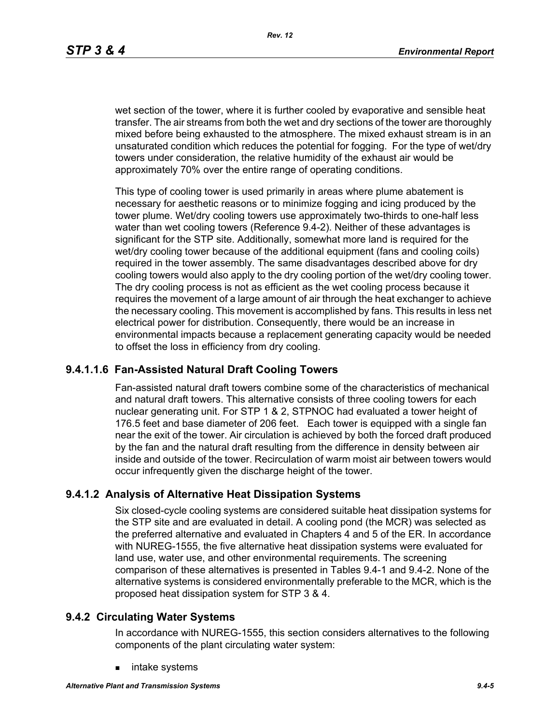wet section of the tower, where it is further cooled by evaporative and sensible heat transfer. The air streams from both the wet and dry sections of the tower are thoroughly mixed before being exhausted to the atmosphere. The mixed exhaust stream is in an unsaturated condition which reduces the potential for fogging. For the type of wet/dry towers under consideration, the relative humidity of the exhaust air would be approximately 70% over the entire range of operating conditions.

This type of cooling tower is used primarily in areas where plume abatement is necessary for aesthetic reasons or to minimize fogging and icing produced by the tower plume. Wet/dry cooling towers use approximately two-thirds to one-half less water than wet cooling towers (Reference 9.4-2). Neither of these advantages is significant for the STP site. Additionally, somewhat more land is required for the wet/dry cooling tower because of the additional equipment (fans and cooling coils) required in the tower assembly. The same disadvantages described above for dry cooling towers would also apply to the dry cooling portion of the wet/dry cooling tower. The dry cooling process is not as efficient as the wet cooling process because it requires the movement of a large amount of air through the heat exchanger to achieve the necessary cooling. This movement is accomplished by fans. This results in less net electrical power for distribution. Consequently, there would be an increase in environmental impacts because a replacement generating capacity would be needed to offset the loss in efficiency from dry cooling.

# **9.4.1.1.6 Fan-Assisted Natural Draft Cooling Towers**

Fan-assisted natural draft towers combine some of the characteristics of mechanical and natural draft towers. This alternative consists of three cooling towers for each nuclear generating unit. For STP 1 & 2, STPNOC had evaluated a tower height of 176.5 feet and base diameter of 206 feet. Each tower is equipped with a single fan near the exit of the tower. Air circulation is achieved by both the forced draft produced by the fan and the natural draft resulting from the difference in density between air inside and outside of the tower. Recirculation of warm moist air between towers would occur infrequently given the discharge height of the tower.

### **9.4.1.2 Analysis of Alternative Heat Dissipation Systems**

Six closed-cycle cooling systems are considered suitable heat dissipation systems for the STP site and are evaluated in detail. A cooling pond (the MCR) was selected as the preferred alternative and evaluated in Chapters 4 and 5 of the ER. In accordance with NUREG-1555, the five alternative heat dissipation systems were evaluated for land use, water use, and other environmental requirements. The screening comparison of these alternatives is presented in Tables 9.4-1 and 9.4-2. None of the alternative systems is considered environmentally preferable to the MCR, which is the proposed heat dissipation system for STP 3 & 4.

### **9.4.2 Circulating Water Systems**

In accordance with NUREG-1555, this section considers alternatives to the following components of the plant circulating water system:

**n** intake systems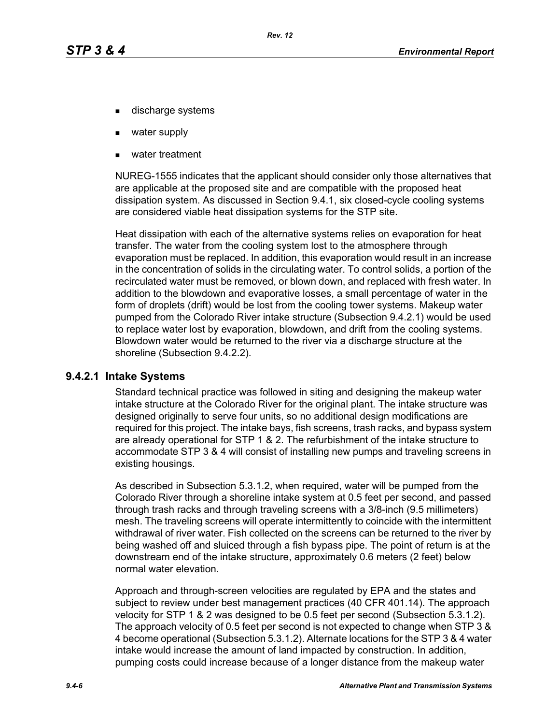- discharge systems
- water supply
- water treatment

NUREG-1555 indicates that the applicant should consider only those alternatives that are applicable at the proposed site and are compatible with the proposed heat dissipation system. As discussed in Section 9.4.1, six closed-cycle cooling systems are considered viable heat dissipation systems for the STP site.

Heat dissipation with each of the alternative systems relies on evaporation for heat transfer. The water from the cooling system lost to the atmosphere through evaporation must be replaced. In addition, this evaporation would result in an increase in the concentration of solids in the circulating water. To control solids, a portion of the recirculated water must be removed, or blown down, and replaced with fresh water. In addition to the blowdown and evaporative losses, a small percentage of water in the form of droplets (drift) would be lost from the cooling tower systems. Makeup water pumped from the Colorado River intake structure (Subsection 9.4.2.1) would be used to replace water lost by evaporation, blowdown, and drift from the cooling systems. Blowdown water would be returned to the river via a discharge structure at the shoreline (Subsection 9.4.2.2).

### **9.4.2.1 Intake Systems**

Standard technical practice was followed in siting and designing the makeup water intake structure at the Colorado River for the original plant. The intake structure was designed originally to serve four units, so no additional design modifications are required for this project. The intake bays, fish screens, trash racks, and bypass system are already operational for STP 1 & 2. The refurbishment of the intake structure to accommodate STP 3 & 4 will consist of installing new pumps and traveling screens in existing housings.

As described in Subsection 5.3.1.2, when required, water will be pumped from the Colorado River through a shoreline intake system at 0.5 feet per second, and passed through trash racks and through traveling screens with a 3/8-inch (9.5 millimeters) mesh. The traveling screens will operate intermittently to coincide with the intermittent withdrawal of river water. Fish collected on the screens can be returned to the river by being washed off and sluiced through a fish bypass pipe. The point of return is at the downstream end of the intake structure, approximately 0.6 meters (2 feet) below normal water elevation.

Approach and through-screen velocities are regulated by EPA and the states and subject to review under best management practices (40 CFR 401.14). The approach velocity for STP 1 & 2 was designed to be 0.5 feet per second (Subsection 5.3.1.2). The approach velocity of 0.5 feet per second is not expected to change when STP 3 & 4 become operational (Subsection 5.3.1.2). Alternate locations for the STP 3 & 4 water intake would increase the amount of land impacted by construction. In addition, pumping costs could increase because of a longer distance from the makeup water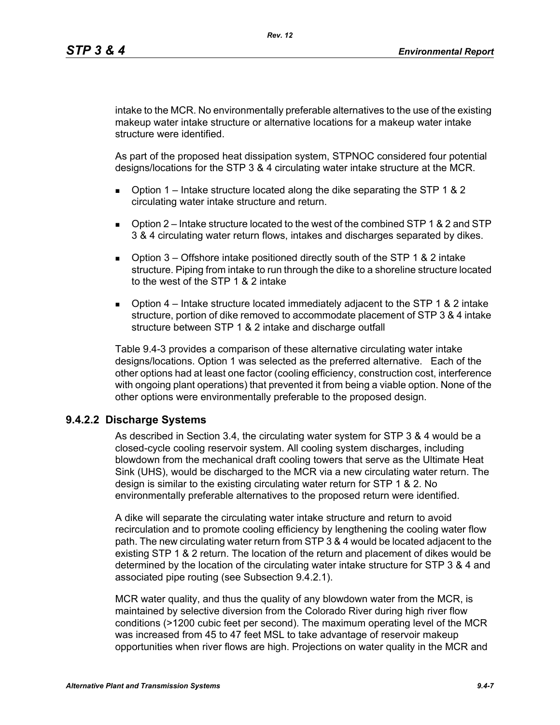intake to the MCR. No environmentally preferable alternatives to the use of the existing makeup water intake structure or alternative locations for a makeup water intake structure were identified.

As part of the proposed heat dissipation system, STPNOC considered four potential designs/locations for the STP 3 & 4 circulating water intake structure at the MCR.

- **D** Option 1 Intake structure located along the dike separating the STP 1 & 2 circulating water intake structure and return.
- $\Box$  Option 2 Intake structure located to the west of the combined STP 1 & 2 and STP 3 & 4 circulating water return flows, intakes and discharges separated by dikes.
- **D** Option  $3$  Offshore intake positioned directly south of the STP 1 & 2 intake structure. Piping from intake to run through the dike to a shoreline structure located to the west of the STP 1 & 2 intake
- **D** Option  $4$  Intake structure located immediately adjacent to the STP 1 & 2 intake structure, portion of dike removed to accommodate placement of STP 3 & 4 intake structure between STP 1 & 2 intake and discharge outfall

Table 9.4-3 provides a comparison of these alternative circulating water intake designs/locations. Option 1 was selected as the preferred alternative. Each of the other options had at least one factor (cooling efficiency, construction cost, interference with ongoing plant operations) that prevented it from being a viable option. None of the other options were environmentally preferable to the proposed design.

# **9.4.2.2 Discharge Systems**

As described in Section 3.4, the circulating water system for STP 3 & 4 would be a closed-cycle cooling reservoir system. All cooling system discharges, including blowdown from the mechanical draft cooling towers that serve as the Ultimate Heat Sink (UHS), would be discharged to the MCR via a new circulating water return. The design is similar to the existing circulating water return for STP 1 & 2. No environmentally preferable alternatives to the proposed return were identified.

A dike will separate the circulating water intake structure and return to avoid recirculation and to promote cooling efficiency by lengthening the cooling water flow path. The new circulating water return from STP 3 & 4 would be located adjacent to the existing STP 1 & 2 return. The location of the return and placement of dikes would be determined by the location of the circulating water intake structure for STP 3 & 4 and associated pipe routing (see Subsection 9.4.2.1).

MCR water quality, and thus the quality of any blowdown water from the MCR, is maintained by selective diversion from the Colorado River during high river flow conditions (>1200 cubic feet per second). The maximum operating level of the MCR was increased from 45 to 47 feet MSL to take advantage of reservoir makeup opportunities when river flows are high. Projections on water quality in the MCR and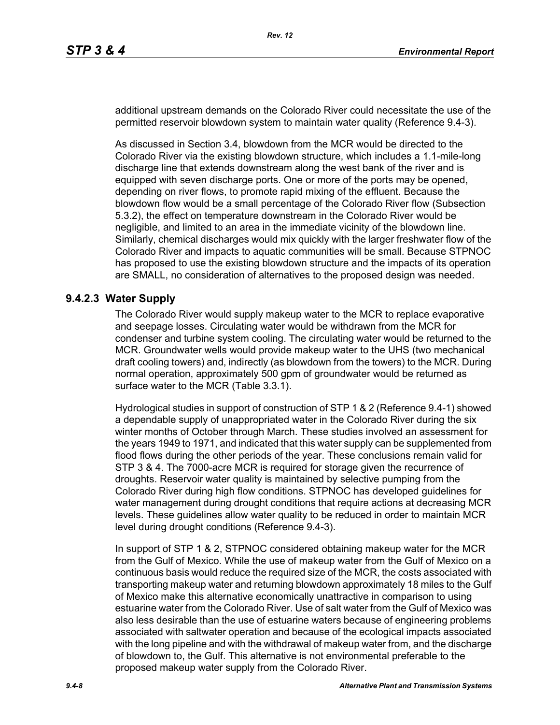additional upstream demands on the Colorado River could necessitate the use of the permitted reservoir blowdown system to maintain water quality (Reference 9.4-3).

As discussed in Section 3.4, blowdown from the MCR would be directed to the Colorado River via the existing blowdown structure, which includes a 1.1-mile-long discharge line that extends downstream along the west bank of the river and is equipped with seven discharge ports. One or more of the ports may be opened, depending on river flows, to promote rapid mixing of the effluent. Because the blowdown flow would be a small percentage of the Colorado River flow (Subsection 5.3.2), the effect on temperature downstream in the Colorado River would be negligible, and limited to an area in the immediate vicinity of the blowdown line. Similarly, chemical discharges would mix quickly with the larger freshwater flow of the Colorado River and impacts to aquatic communities will be small. Because STPNOC has proposed to use the existing blowdown structure and the impacts of its operation are SMALL, no consideration of alternatives to the proposed design was needed.

### **9.4.2.3 Water Supply**

The Colorado River would supply makeup water to the MCR to replace evaporative and seepage losses. Circulating water would be withdrawn from the MCR for condenser and turbine system cooling. The circulating water would be returned to the MCR. Groundwater wells would provide makeup water to the UHS (two mechanical draft cooling towers) and, indirectly (as blowdown from the towers) to the MCR. During normal operation, approximately 500 gpm of groundwater would be returned as surface water to the MCR (Table 3.3.1).

Hydrological studies in support of construction of STP 1 & 2 (Reference 9.4-1) showed a dependable supply of unappropriated water in the Colorado River during the six winter months of October through March. These studies involved an assessment for the years 1949 to 1971, and indicated that this water supply can be supplemented from flood flows during the other periods of the year. These conclusions remain valid for STP 3 & 4. The 7000-acre MCR is required for storage given the recurrence of droughts. Reservoir water quality is maintained by selective pumping from the Colorado River during high flow conditions. STPNOC has developed guidelines for water management during drought conditions that require actions at decreasing MCR levels. These guidelines allow water quality to be reduced in order to maintain MCR level during drought conditions (Reference 9.4-3).

In support of STP 1 & 2, STPNOC considered obtaining makeup water for the MCR from the Gulf of Mexico. While the use of makeup water from the Gulf of Mexico on a continuous basis would reduce the required size of the MCR, the costs associated with transporting makeup water and returning blowdown approximately 18 miles to the Gulf of Mexico make this alternative economically unattractive in comparison to using estuarine water from the Colorado River. Use of salt water from the Gulf of Mexico was also less desirable than the use of estuarine waters because of engineering problems associated with saltwater operation and because of the ecological impacts associated with the long pipeline and with the withdrawal of makeup water from, and the discharge of blowdown to, the Gulf. This alternative is not environmental preferable to the proposed makeup water supply from the Colorado River.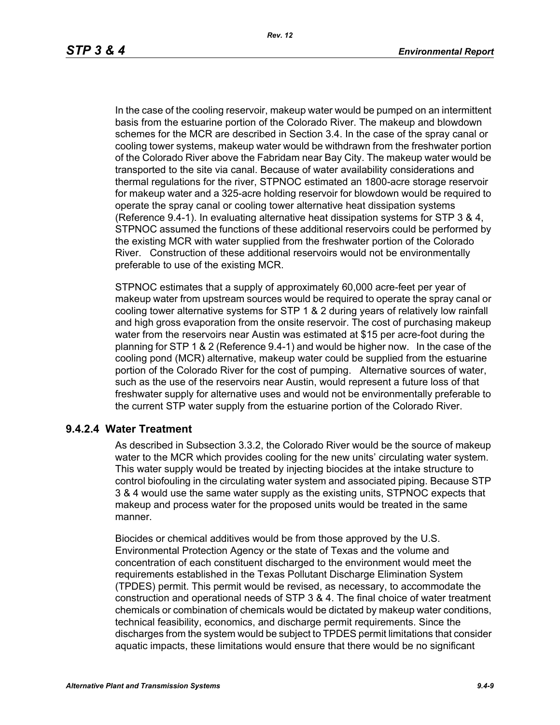In the case of the cooling reservoir, makeup water would be pumped on an intermittent basis from the estuarine portion of the Colorado River. The makeup and blowdown schemes for the MCR are described in Section 3.4. In the case of the spray canal or cooling tower systems, makeup water would be withdrawn from the freshwater portion of the Colorado River above the Fabridam near Bay City. The makeup water would be transported to the site via canal. Because of water availability considerations and thermal regulations for the river, STPNOC estimated an 1800-acre storage reservoir for makeup water and a 325-acre holding reservoir for blowdown would be required to operate the spray canal or cooling tower alternative heat dissipation systems (Reference 9.4-1). In evaluating alternative heat dissipation systems for STP 3 & 4, STPNOC assumed the functions of these additional reservoirs could be performed by the existing MCR with water supplied from the freshwater portion of the Colorado River. Construction of these additional reservoirs would not be environmentally preferable to use of the existing MCR.

STPNOC estimates that a supply of approximately 60,000 acre-feet per year of makeup water from upstream sources would be required to operate the spray canal or cooling tower alternative systems for STP 1 & 2 during years of relatively low rainfall and high gross evaporation from the onsite reservoir. The cost of purchasing makeup water from the reservoirs near Austin was estimated at \$15 per acre-foot during the planning for STP 1 & 2 (Reference 9.4-1) and would be higher now. In the case of the cooling pond (MCR) alternative, makeup water could be supplied from the estuarine portion of the Colorado River for the cost of pumping. Alternative sources of water, such as the use of the reservoirs near Austin, would represent a future loss of that freshwater supply for alternative uses and would not be environmentally preferable to the current STP water supply from the estuarine portion of the Colorado River.

### **9.4.2.4 Water Treatment**

As described in Subsection 3.3.2, the Colorado River would be the source of makeup water to the MCR which provides cooling for the new units' circulating water system. This water supply would be treated by injecting biocides at the intake structure to control biofouling in the circulating water system and associated piping. Because STP 3 & 4 would use the same water supply as the existing units, STPNOC expects that makeup and process water for the proposed units would be treated in the same manner.

Biocides or chemical additives would be from those approved by the U.S. Environmental Protection Agency or the state of Texas and the volume and concentration of each constituent discharged to the environment would meet the requirements established in the Texas Pollutant Discharge Elimination System (TPDES) permit. This permit would be revised, as necessary, to accommodate the construction and operational needs of STP 3 & 4. The final choice of water treatment chemicals or combination of chemicals would be dictated by makeup water conditions, technical feasibility, economics, and discharge permit requirements. Since the discharges from the system would be subject to TPDES permit limitations that consider aquatic impacts, these limitations would ensure that there would be no significant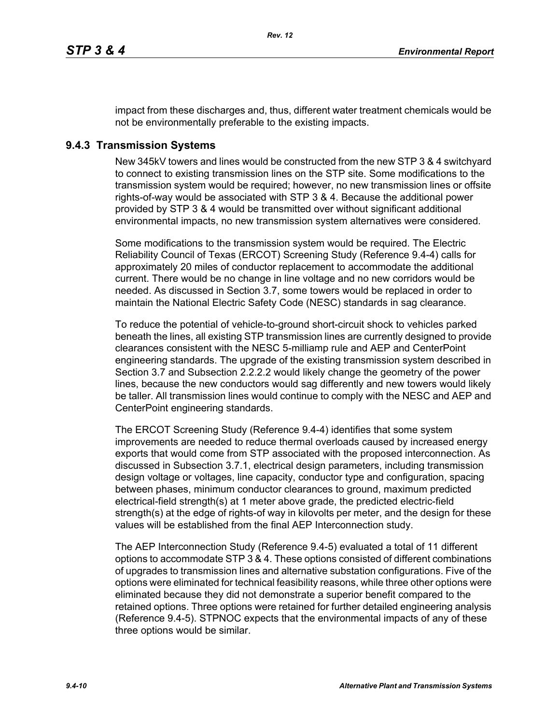impact from these discharges and, thus, different water treatment chemicals would be not be environmentally preferable to the existing impacts.

## **9.4.3 Transmission Systems**

New 345kV towers and lines would be constructed from the new STP 3 & 4 switchyard to connect to existing transmission lines on the STP site. Some modifications to the transmission system would be required; however, no new transmission lines or offsite rights-of-way would be associated with STP 3 & 4. Because the additional power provided by STP 3 & 4 would be transmitted over without significant additional environmental impacts, no new transmission system alternatives were considered.

Some modifications to the transmission system would be required. The Electric Reliability Council of Texas (ERCOT) Screening Study (Reference 9.4-4) calls for approximately 20 miles of conductor replacement to accommodate the additional current. There would be no change in line voltage and no new corridors would be needed. As discussed in Section 3.7, some towers would be replaced in order to maintain the National Electric Safety Code (NESC) standards in sag clearance.

To reduce the potential of vehicle-to-ground short-circuit shock to vehicles parked beneath the lines, all existing STP transmission lines are currently designed to provide clearances consistent with the NESC 5-milliamp rule and AEP and CenterPoint engineering standards. The upgrade of the existing transmission system described in Section 3.7 and Subsection 2.2.2.2 would likely change the geometry of the power lines, because the new conductors would sag differently and new towers would likely be taller. All transmission lines would continue to comply with the NESC and AEP and CenterPoint engineering standards.

The ERCOT Screening Study (Reference 9.4-4) identifies that some system improvements are needed to reduce thermal overloads caused by increased energy exports that would come from STP associated with the proposed interconnection. As discussed in Subsection 3.7.1, electrical design parameters, including transmission design voltage or voltages, line capacity, conductor type and configuration, spacing between phases, minimum conductor clearances to ground, maximum predicted electrical-field strength(s) at 1 meter above grade, the predicted electric-field strength(s) at the edge of rights-of way in kilovolts per meter, and the design for these values will be established from the final AEP Interconnection study.

The AEP Interconnection Study (Reference 9.4-5) evaluated a total of 11 different options to accommodate STP 3 & 4. These options consisted of different combinations of upgrades to transmission lines and alternative substation configurations. Five of the options were eliminated for technical feasibility reasons, while three other options were eliminated because they did not demonstrate a superior benefit compared to the retained options. Three options were retained for further detailed engineering analysis (Reference 9.4-5). STPNOC expects that the environmental impacts of any of these three options would be similar.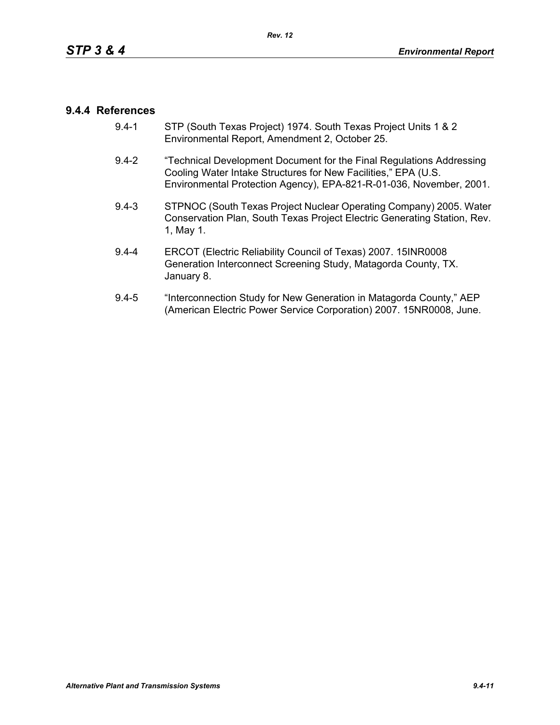## **9.4.4 References**

- 9.4-1 STP (South Texas Project) 1974. South Texas Project Units 1 & 2 Environmental Report, Amendment 2, October 25.
- 9.4-2 "Technical Development Document for the Final Regulations Addressing Cooling Water Intake Structures for New Facilities," EPA (U.S. Environmental Protection Agency), EPA-821-R-01-036, November, 2001.
- 9.4-3 STPNOC (South Texas Project Nuclear Operating Company) 2005. Water Conservation Plan, South Texas Project Electric Generating Station, Rev. 1, May 1.
- 9.4-4 ERCOT (Electric Reliability Council of Texas) 2007. 15INR0008 Generation Interconnect Screening Study, Matagorda County, TX. January 8.
- 9.4-5 "Interconnection Study for New Generation in Matagorda County," AEP (American Electric Power Service Corporation) 2007. 15NR0008, June.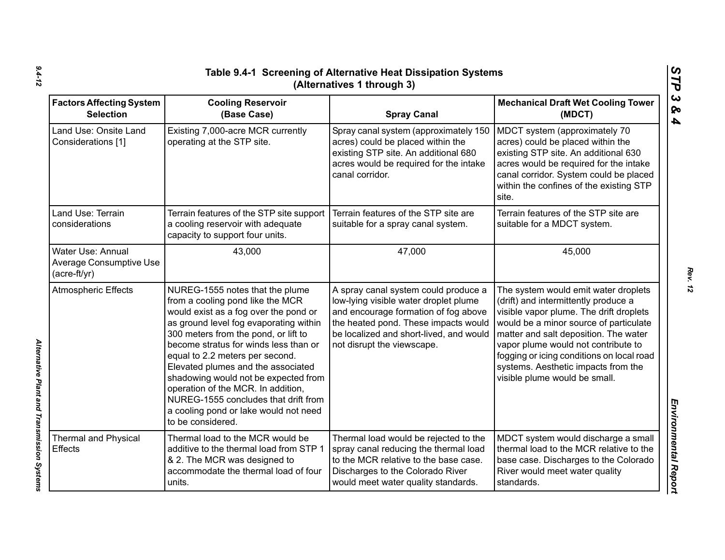| <b>Factors Affecting System</b><br><b>Selection</b>                 | <b>Cooling Reservoir</b><br>(Base Case)                                                                                                                                                                                                                                                                                                                                                                                                                                                              | <b>Spray Canal</b>                                                                                                                                                                                                                     | <b>Mechanical Draft Wet Cooling Tower</b><br>(MDCT)                                                                                                                                                                                                                                                                                                                    |
|---------------------------------------------------------------------|------------------------------------------------------------------------------------------------------------------------------------------------------------------------------------------------------------------------------------------------------------------------------------------------------------------------------------------------------------------------------------------------------------------------------------------------------------------------------------------------------|----------------------------------------------------------------------------------------------------------------------------------------------------------------------------------------------------------------------------------------|------------------------------------------------------------------------------------------------------------------------------------------------------------------------------------------------------------------------------------------------------------------------------------------------------------------------------------------------------------------------|
| Land Use: Onsite Land<br>Considerations [1]                         | Existing 7,000-acre MCR currently<br>operating at the STP site.                                                                                                                                                                                                                                                                                                                                                                                                                                      | Spray canal system (approximately 150<br>acres) could be placed within the<br>existing STP site. An additional 680<br>acres would be required for the intake<br>canal corridor.                                                        | MDCT system (approximately 70<br>acres) could be placed within the<br>existing STP site. An additional 630<br>acres would be required for the intake<br>canal corridor. System could be placed<br>within the confines of the existing STP<br>site.                                                                                                                     |
| Land Use: Terrain<br>considerations                                 | Terrain features of the STP site support<br>a cooling reservoir with adequate<br>capacity to support four units.                                                                                                                                                                                                                                                                                                                                                                                     | Terrain features of the STP site are<br>suitable for a spray canal system.                                                                                                                                                             | Terrain features of the STP site are<br>suitable for a MDCT system.                                                                                                                                                                                                                                                                                                    |
| Water Use: Annual<br><b>Average Consumptive Use</b><br>(acre-ft/yr) | 43,000                                                                                                                                                                                                                                                                                                                                                                                                                                                                                               | 47,000                                                                                                                                                                                                                                 | 45,000                                                                                                                                                                                                                                                                                                                                                                 |
| <b>Atmospheric Effects</b>                                          | NUREG-1555 notes that the plume<br>from a cooling pond like the MCR<br>would exist as a fog over the pond or<br>as ground level fog evaporating within<br>300 meters from the pond, or lift to<br>become stratus for winds less than or<br>equal to 2.2 meters per second.<br>Elevated plumes and the associated<br>shadowing would not be expected from<br>operation of the MCR. In addition,<br>NUREG-1555 concludes that drift from<br>a cooling pond or lake would not need<br>to be considered. | A spray canal system could produce a<br>low-lying visible water droplet plume<br>and encourage formation of fog above<br>the heated pond. These impacts would<br>be localized and short-lived, and would<br>not disrupt the viewscape. | The system would emit water droplets<br>(drift) and intermittently produce a<br>visible vapor plume. The drift droplets<br>would be a minor source of particulate<br>matter and salt deposition. The water<br>vapor plume would not contribute to<br>fogging or icing conditions on local road<br>systems. Aesthetic impacts from the<br>visible plume would be small. |
| Thermal and Physical<br><b>Effects</b>                              | Thermal load to the MCR would be<br>additive to the thermal load from STP 1<br>& 2. The MCR was designed to<br>accommodate the thermal load of four<br>units.                                                                                                                                                                                                                                                                                                                                        | Thermal load would be rejected to the<br>spray canal reducing the thermal load<br>to the MCR relative to the base case.<br>Discharges to the Colorado River<br>would meet water quality standards.                                     | MDCT system would discharge a small<br>thermal load to the MCR relative to the<br>base case. Discharges to the Colorado<br>River would meet water quality<br>standards.                                                                                                                                                                                                |

*Alternative Plant and Transmission Systems* 

Alternative Plant and Transmission Systems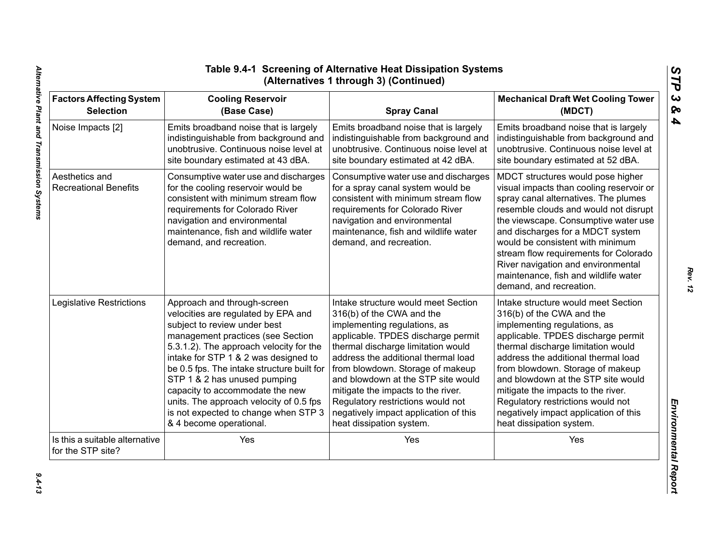| <b>Factors Affecting System</b>                     | <b>Cooling Reservoir</b>                                                                                                                                                                                                                                | <b>Spray Canal</b>                                                                                                                                                                                                                                     | <b>Mechanical Draft Wet Cooling Tower</b>                                                                                                                                                                                                                                                                                                                                                                                        |
|-----------------------------------------------------|---------------------------------------------------------------------------------------------------------------------------------------------------------------------------------------------------------------------------------------------------------|--------------------------------------------------------------------------------------------------------------------------------------------------------------------------------------------------------------------------------------------------------|----------------------------------------------------------------------------------------------------------------------------------------------------------------------------------------------------------------------------------------------------------------------------------------------------------------------------------------------------------------------------------------------------------------------------------|
| <b>Selection</b>                                    | (Base Case)                                                                                                                                                                                                                                             |                                                                                                                                                                                                                                                        | (MDCT)                                                                                                                                                                                                                                                                                                                                                                                                                           |
| Noise Impacts [2]                                   | Emits broadband noise that is largely                                                                                                                                                                                                                   | Emits broadband noise that is largely                                                                                                                                                                                                                  | Emits broadband noise that is largely                                                                                                                                                                                                                                                                                                                                                                                            |
|                                                     | indistinguishable from background and                                                                                                                                                                                                                   | indistinguishable from background and                                                                                                                                                                                                                  | indistinguishable from background and                                                                                                                                                                                                                                                                                                                                                                                            |
|                                                     | unobtrusive. Continuous noise level at                                                                                                                                                                                                                  | unobtrusive. Continuous noise level at                                                                                                                                                                                                                 | unobtrusive. Continuous noise level at                                                                                                                                                                                                                                                                                                                                                                                           |
|                                                     | site boundary estimated at 43 dBA.                                                                                                                                                                                                                      | site boundary estimated at 42 dBA.                                                                                                                                                                                                                     | site boundary estimated at 52 dBA.                                                                                                                                                                                                                                                                                                                                                                                               |
| Aesthetics and<br><b>Recreational Benefits</b>      | Consumptive water use and discharges<br>for the cooling reservoir would be<br>consistent with minimum stream flow<br>requirements for Colorado River<br>navigation and environmental<br>maintenance, fish and wildlife water<br>demand, and recreation. | Consumptive water use and discharges<br>for a spray canal system would be<br>consistent with minimum stream flow<br>requirements for Colorado River<br>navigation and environmental<br>maintenance, fish and wildlife water<br>demand, and recreation. | MDCT structures would pose higher<br>visual impacts than cooling reservoir or<br>spray canal alternatives. The plumes<br>resemble clouds and would not disrupt<br>the viewscape. Consumptive water use<br>and discharges for a MDCT system<br>would be consistent with minimum<br>stream flow requirements for Colorado<br>River navigation and environmental<br>maintenance, fish and wildlife water<br>demand, and recreation. |
| Legislative Restrictions                            | Approach and through-screen                                                                                                                                                                                                                             | Intake structure would meet Section                                                                                                                                                                                                                    | Intake structure would meet Section                                                                                                                                                                                                                                                                                                                                                                                              |
|                                                     | velocities are regulated by EPA and                                                                                                                                                                                                                     | 316(b) of the CWA and the                                                                                                                                                                                                                              | 316(b) of the CWA and the                                                                                                                                                                                                                                                                                                                                                                                                        |
|                                                     | subject to review under best                                                                                                                                                                                                                            | implementing regulations, as                                                                                                                                                                                                                           | implementing regulations, as                                                                                                                                                                                                                                                                                                                                                                                                     |
|                                                     | management practices (see Section                                                                                                                                                                                                                       | applicable. TPDES discharge permit                                                                                                                                                                                                                     | applicable. TPDES discharge permit                                                                                                                                                                                                                                                                                                                                                                                               |
|                                                     | 5.3.1.2). The approach velocity for the                                                                                                                                                                                                                 | thermal discharge limitation would                                                                                                                                                                                                                     | thermal discharge limitation would                                                                                                                                                                                                                                                                                                                                                                                               |
|                                                     | intake for STP 1 & 2 was designed to                                                                                                                                                                                                                    | address the additional thermal load                                                                                                                                                                                                                    | address the additional thermal load                                                                                                                                                                                                                                                                                                                                                                                              |
|                                                     | be 0.5 fps. The intake structure built for                                                                                                                                                                                                              | from blowdown. Storage of makeup                                                                                                                                                                                                                       | from blowdown. Storage of makeup                                                                                                                                                                                                                                                                                                                                                                                                 |
|                                                     | STP 1 & 2 has unused pumping                                                                                                                                                                                                                            | and blowdown at the STP site would                                                                                                                                                                                                                     | and blowdown at the STP site would                                                                                                                                                                                                                                                                                                                                                                                               |
|                                                     | capacity to accommodate the new                                                                                                                                                                                                                         | mitigate the impacts to the river.                                                                                                                                                                                                                     | mitigate the impacts to the river.                                                                                                                                                                                                                                                                                                                                                                                               |
|                                                     | units. The approach velocity of 0.5 fps                                                                                                                                                                                                                 | Regulatory restrictions would not                                                                                                                                                                                                                      | Regulatory restrictions would not                                                                                                                                                                                                                                                                                                                                                                                                |
|                                                     | is not expected to change when STP 3                                                                                                                                                                                                                    | negatively impact application of this                                                                                                                                                                                                                  | negatively impact application of this                                                                                                                                                                                                                                                                                                                                                                                            |
|                                                     | & 4 become operational.                                                                                                                                                                                                                                 | heat dissipation system.                                                                                                                                                                                                                               | heat dissipation system.                                                                                                                                                                                                                                                                                                                                                                                                         |
| Is this a suitable alternative<br>for the STP site? | Yes                                                                                                                                                                                                                                                     | Yes                                                                                                                                                                                                                                                    | Yes                                                                                                                                                                                                                                                                                                                                                                                                                              |

*Rev. 12*

*STP 3 & 4*

 $9.4 - 13$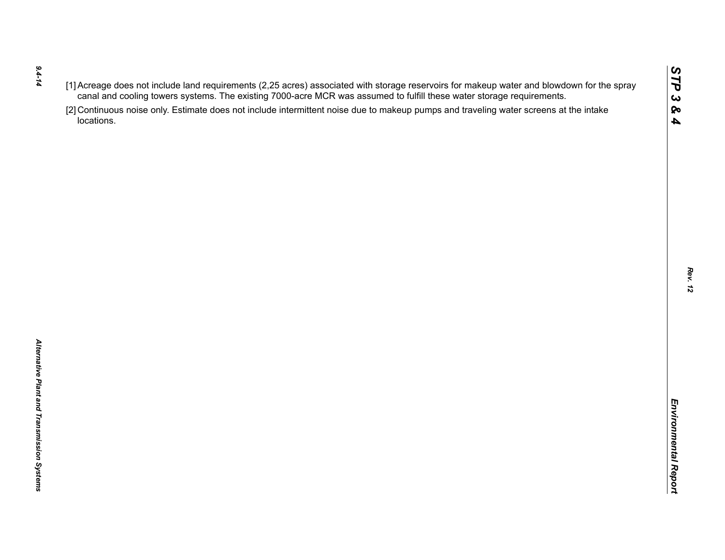- *9.4-14*
- 
- $(1)$  Accessors of the rich requirements (2.25 are once to the was assumed to furth these water storage requirements.<br>
Caroline of the control of the state of the state of the state of the state of the state of the state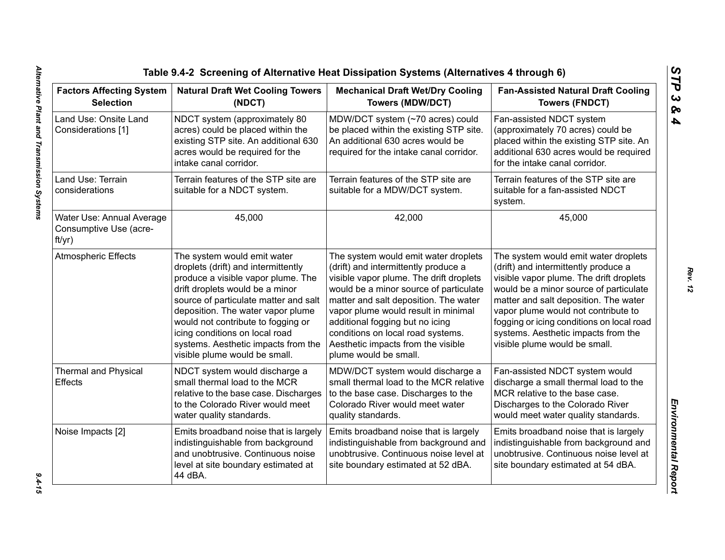| <b>Factors Affecting System</b><br><b>Selection</b>           | <b>Natural Draft Wet Cooling Towers</b><br>(NDCT)                                                                                                                                                                                                                                                                                                                         | <b>Mechanical Draft Wet/Dry Cooling</b><br><b>Towers (MDW/DCT)</b>                                                                                                                                                                                                                                                                                                                       | <b>Fan-Assisted Natural Draft Cooling</b><br><b>Towers (FNDCT)</b>                                                                                                                                                                                                                                                                                                     |
|---------------------------------------------------------------|---------------------------------------------------------------------------------------------------------------------------------------------------------------------------------------------------------------------------------------------------------------------------------------------------------------------------------------------------------------------------|------------------------------------------------------------------------------------------------------------------------------------------------------------------------------------------------------------------------------------------------------------------------------------------------------------------------------------------------------------------------------------------|------------------------------------------------------------------------------------------------------------------------------------------------------------------------------------------------------------------------------------------------------------------------------------------------------------------------------------------------------------------------|
| Land Use: Onsite Land<br>Considerations [1]                   | NDCT system (approximately 80<br>acres) could be placed within the<br>existing STP site. An additional 630<br>acres would be required for the<br>intake canal corridor.                                                                                                                                                                                                   | MDW/DCT system (~70 acres) could<br>be placed within the existing STP site.<br>An additional 630 acres would be<br>required for the intake canal corridor.                                                                                                                                                                                                                               | Fan-assisted NDCT system<br>(approximately 70 acres) could be<br>placed within the existing STP site. An<br>additional 630 acres would be required<br>for the intake canal corridor.                                                                                                                                                                                   |
| Land Use: Terrain<br>considerations                           | Terrain features of the STP site are<br>suitable for a NDCT system.                                                                                                                                                                                                                                                                                                       | Terrain features of the STP site are<br>suitable for a MDW/DCT system.                                                                                                                                                                                                                                                                                                                   | Terrain features of the STP site are<br>suitable for a fan-assisted NDCT<br>system.                                                                                                                                                                                                                                                                                    |
| Water Use: Annual Average<br>Consumptive Use (acre-<br>ft/yr) | 45,000                                                                                                                                                                                                                                                                                                                                                                    | 42,000                                                                                                                                                                                                                                                                                                                                                                                   | 45,000                                                                                                                                                                                                                                                                                                                                                                 |
| <b>Atmospheric Effects</b>                                    | The system would emit water<br>droplets (drift) and intermittently<br>produce a visible vapor plume. The<br>drift droplets would be a minor<br>source of particulate matter and salt<br>deposition. The water vapor plume<br>would not contribute to fogging or<br>icing conditions on local road<br>systems. Aesthetic impacts from the<br>visible plume would be small. | The system would emit water droplets<br>(drift) and intermittently produce a<br>visible vapor plume. The drift droplets<br>would be a minor source of particulate<br>matter and salt deposition. The water<br>vapor plume would result in minimal<br>additional fogging but no icing<br>conditions on local road systems.<br>Aesthetic impacts from the visible<br>plume would be small. | The system would emit water droplets<br>(drift) and intermittently produce a<br>visible vapor plume. The drift droplets<br>would be a minor source of particulate<br>matter and salt deposition. The water<br>vapor plume would not contribute to<br>fogging or icing conditions on local road<br>systems. Aesthetic impacts from the<br>visible plume would be small. |
| <b>Thermal and Physical</b><br>Effects                        | MDW/DCT system would discharge a<br>NDCT system would discharge a<br>small thermal load to the MCR<br>small thermal load to the MCR relative<br>relative to the base case. Discharges<br>to the base case. Discharges to the<br>to the Colorado River would meet<br>Colorado River would meet water<br>water quality standards.<br>quality standards.                     |                                                                                                                                                                                                                                                                                                                                                                                          | Fan-assisted NDCT system would<br>discharge a small thermal load to the<br>MCR relative to the base case.<br>Discharges to the Colorado River<br>would meet water quality standards.                                                                                                                                                                                   |
| Noise Impacts [2]                                             | Emits broadband noise that is largely<br>indistinguishable from background<br>and unobtrusive. Continuous noise<br>level at site boundary estimated at<br>44 dBA.                                                                                                                                                                                                         | Emits broadband noise that is largely<br>indistinguishable from background and<br>unobtrusive. Continuous noise level at<br>site boundary estimated at 52 dBA.                                                                                                                                                                                                                           | Emits broadband noise that is largely<br>indistinguishable from background and<br>unobtrusive. Continuous noise level at<br>site boundary estimated at 54 dBA.                                                                                                                                                                                                         |

*STP 3 & 4*

 $9.4 - 15$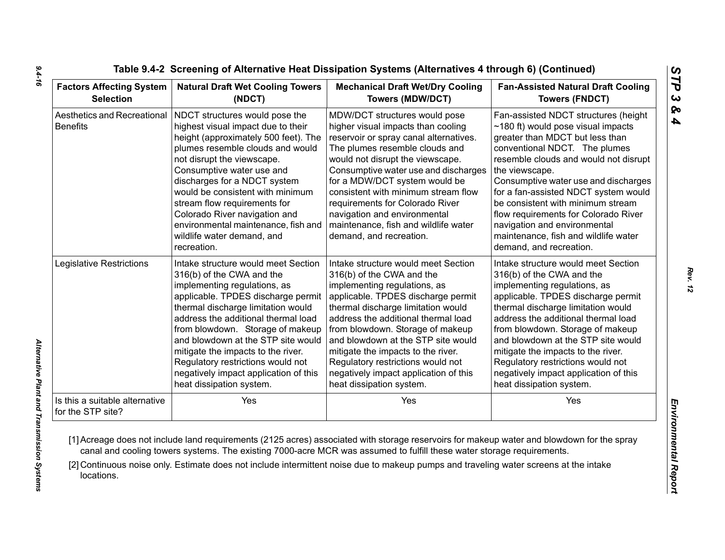| <b>Factors Affecting System</b>                     | <b>Natural Draft Wet Cooling Towers</b>                                                                                                                                                                                                                                                                                                                                                                                              | <b>Mechanical Draft Wet/Dry Cooling</b>                                                                                                                                                                                                                                                                                                                                                                                                   | <b>Fan-Assisted Natural Draft Cooling</b>                                                                                                                                                                                                                                                                                                                                                                                                                                       |  |
|-----------------------------------------------------|--------------------------------------------------------------------------------------------------------------------------------------------------------------------------------------------------------------------------------------------------------------------------------------------------------------------------------------------------------------------------------------------------------------------------------------|-------------------------------------------------------------------------------------------------------------------------------------------------------------------------------------------------------------------------------------------------------------------------------------------------------------------------------------------------------------------------------------------------------------------------------------------|---------------------------------------------------------------------------------------------------------------------------------------------------------------------------------------------------------------------------------------------------------------------------------------------------------------------------------------------------------------------------------------------------------------------------------------------------------------------------------|--|
| <b>Selection</b>                                    | (NDCT)                                                                                                                                                                                                                                                                                                                                                                                                                               | <b>Towers (MDW/DCT)</b>                                                                                                                                                                                                                                                                                                                                                                                                                   | <b>Towers (FNDCT)</b>                                                                                                                                                                                                                                                                                                                                                                                                                                                           |  |
| Aesthetics and Recreational<br><b>Benefits</b>      | NDCT structures would pose the<br>highest visual impact due to their<br>height (approximately 500 feet). The<br>plumes resemble clouds and would<br>not disrupt the viewscape.<br>Consumptive water use and<br>discharges for a NDCT system<br>would be consistent with minimum<br>stream flow requirements for<br>Colorado River navigation and<br>environmental maintenance, fish and<br>wildlife water demand, and<br>recreation. | MDW/DCT structures would pose<br>higher visual impacts than cooling<br>reservoir or spray canal alternatives.<br>The plumes resemble clouds and<br>would not disrupt the viewscape.<br>Consumptive water use and discharges<br>for a MDW/DCT system would be<br>consistent with minimum stream flow<br>requirements for Colorado River<br>navigation and environmental<br>maintenance, fish and wildlife water<br>demand, and recreation. | Fan-assisted NDCT structures (height<br>$\sim$ 180 ft) would pose visual impacts<br>greater than MDCT but less than<br>conventional NDCT. The plumes<br>resemble clouds and would not disrupt<br>the viewscape.<br>Consumptive water use and discharges<br>for a fan-assisted NDCT system would<br>be consistent with minimum stream<br>flow requirements for Colorado River<br>navigation and environmental<br>maintenance, fish and wildlife water<br>demand, and recreation. |  |
| Legislative Restrictions                            | Intake structure would meet Section                                                                                                                                                                                                                                                                                                                                                                                                  | Intake structure would meet Section                                                                                                                                                                                                                                                                                                                                                                                                       | Intake structure would meet Section                                                                                                                                                                                                                                                                                                                                                                                                                                             |  |
|                                                     | 316(b) of the CWA and the                                                                                                                                                                                                                                                                                                                                                                                                            | 316(b) of the CWA and the                                                                                                                                                                                                                                                                                                                                                                                                                 | 316(b) of the CWA and the                                                                                                                                                                                                                                                                                                                                                                                                                                                       |  |
|                                                     | implementing regulations, as                                                                                                                                                                                                                                                                                                                                                                                                         | implementing regulations, as                                                                                                                                                                                                                                                                                                                                                                                                              | implementing regulations, as                                                                                                                                                                                                                                                                                                                                                                                                                                                    |  |
|                                                     | applicable. TPDES discharge permit                                                                                                                                                                                                                                                                                                                                                                                                   | applicable. TPDES discharge permit                                                                                                                                                                                                                                                                                                                                                                                                        | applicable. TPDES discharge permit                                                                                                                                                                                                                                                                                                                                                                                                                                              |  |
|                                                     | thermal discharge limitation would                                                                                                                                                                                                                                                                                                                                                                                                   | thermal discharge limitation would                                                                                                                                                                                                                                                                                                                                                                                                        | thermal discharge limitation would                                                                                                                                                                                                                                                                                                                                                                                                                                              |  |
|                                                     | address the additional thermal load                                                                                                                                                                                                                                                                                                                                                                                                  | address the additional thermal load                                                                                                                                                                                                                                                                                                                                                                                                       | address the additional thermal load                                                                                                                                                                                                                                                                                                                                                                                                                                             |  |
|                                                     | from blowdown. Storage of makeup                                                                                                                                                                                                                                                                                                                                                                                                     | from blowdown. Storage of makeup                                                                                                                                                                                                                                                                                                                                                                                                          | from blowdown. Storage of makeup                                                                                                                                                                                                                                                                                                                                                                                                                                                |  |
|                                                     | and blowdown at the STP site would                                                                                                                                                                                                                                                                                                                                                                                                   | and blowdown at the STP site would                                                                                                                                                                                                                                                                                                                                                                                                        | and blowdown at the STP site would                                                                                                                                                                                                                                                                                                                                                                                                                                              |  |
|                                                     | mitigate the impacts to the river.                                                                                                                                                                                                                                                                                                                                                                                                   | mitigate the impacts to the river.                                                                                                                                                                                                                                                                                                                                                                                                        | mitigate the impacts to the river.                                                                                                                                                                                                                                                                                                                                                                                                                                              |  |
|                                                     | Regulatory restrictions would not                                                                                                                                                                                                                                                                                                                                                                                                    | Regulatory restrictions would not                                                                                                                                                                                                                                                                                                                                                                                                         | Regulatory restrictions would not                                                                                                                                                                                                                                                                                                                                                                                                                                               |  |
|                                                     | negatively impact application of this                                                                                                                                                                                                                                                                                                                                                                                                | negatively impact application of this                                                                                                                                                                                                                                                                                                                                                                                                     | negatively impact application of this                                                                                                                                                                                                                                                                                                                                                                                                                                           |  |
|                                                     | heat dissipation system.                                                                                                                                                                                                                                                                                                                                                                                                             | heat dissipation system.                                                                                                                                                                                                                                                                                                                                                                                                                  | heat dissipation system.                                                                                                                                                                                                                                                                                                                                                                                                                                                        |  |
| Is this a suitable alternative<br>for the STP site? | Yes                                                                                                                                                                                                                                                                                                                                                                                                                                  | Yes                                                                                                                                                                                                                                                                                                                                                                                                                                       | Yes                                                                                                                                                                                                                                                                                                                                                                                                                                                                             |  |

*9.4-16*

*Rev. 12*

*STP 3 & 4*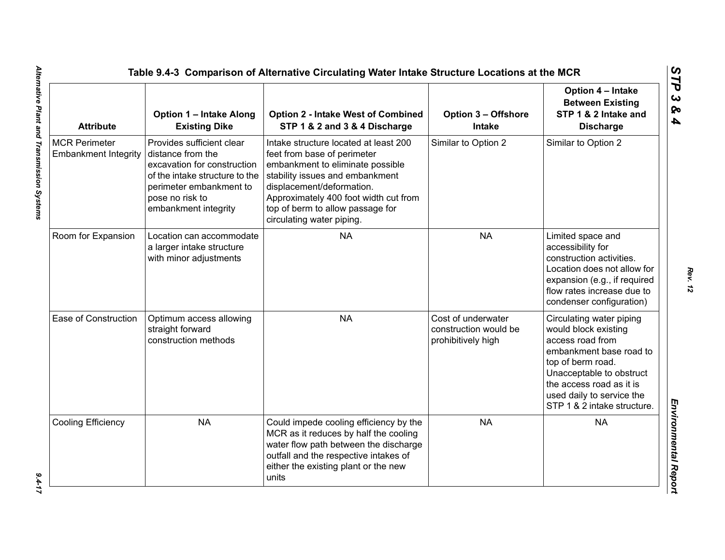| <b>Attribute</b>                                    | <b>Option 1 - Intake Along</b><br><b>Existing Dike</b>                                                                                                                                | <b>Option 2 - Intake West of Combined</b><br>STP 1 & 2 and 3 & 4 Discharge                                                                                                                                                                                                         | <b>Option 3 - Offshore</b><br><b>Intake</b>                       | Option 4 - Intake<br><b>Between Existing</b><br>STP 1 & 2 Intake and<br><b>Discharge</b>                                                                                                                                                 |
|-----------------------------------------------------|---------------------------------------------------------------------------------------------------------------------------------------------------------------------------------------|------------------------------------------------------------------------------------------------------------------------------------------------------------------------------------------------------------------------------------------------------------------------------------|-------------------------------------------------------------------|------------------------------------------------------------------------------------------------------------------------------------------------------------------------------------------------------------------------------------------|
| <b>MCR Perimeter</b><br><b>Embankment Integrity</b> | Provides sufficient clear<br>distance from the<br>excavation for construction<br>of the intake structure to the<br>perimeter embankment to<br>pose no risk to<br>embankment integrity | Intake structure located at least 200<br>feet from base of perimeter<br>embankment to eliminate possible<br>stability issues and embankment<br>displacement/deformation.<br>Approximately 400 foot width cut from<br>top of berm to allow passage for<br>circulating water piping. | Similar to Option 2                                               | Similar to Option 2                                                                                                                                                                                                                      |
| Room for Expansion                                  | Location can accommodate<br>a larger intake structure<br>with minor adjustments                                                                                                       | <b>NA</b>                                                                                                                                                                                                                                                                          | <b>NA</b>                                                         | Limited space and<br>accessibility for<br>construction activities.<br>Location does not allow for<br>expansion (e.g., if required<br>flow rates increase due to<br>condenser configuration)                                              |
| Ease of Construction                                | Optimum access allowing<br>straight forward<br>construction methods                                                                                                                   | <b>NA</b>                                                                                                                                                                                                                                                                          | Cost of underwater<br>construction would be<br>prohibitively high | Circulating water piping<br>would block existing<br>access road from<br>embankment base road to<br>top of berm road.<br>Unacceptable to obstruct<br>the access road as it is<br>used daily to service the<br>STP 1 & 2 intake structure. |
| Cooling Efficiency                                  | <b>NA</b>                                                                                                                                                                             | Could impede cooling efficiency by the<br>MCR as it reduces by half the cooling<br>water flow path between the discharge<br>outfall and the respective intakes of<br>either the existing plant or the new<br>units                                                                 | <b>NA</b>                                                         | <b>NA</b>                                                                                                                                                                                                                                |

*Rev. 12*

 $9.4 - 17$